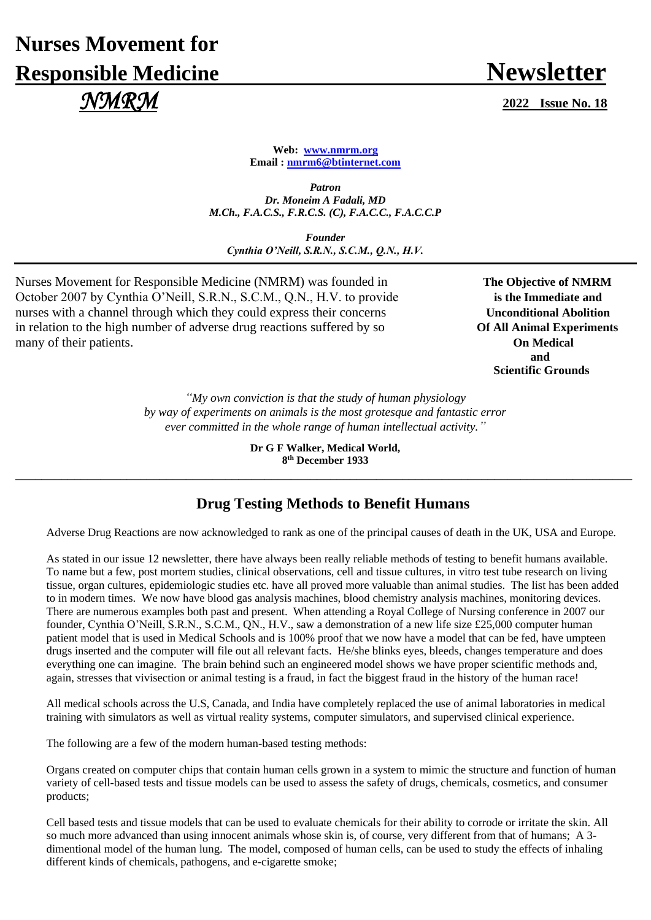## **Nurses Movement for Responsible Medicine Newsletter**  *NMRM* **<sup>2022</sup> Issue No. <sup>18</sup>**

**Web: [www.nmrm.org](http://www.nmrm.org/) Email [: nmrm6@btinternet.com](mailto:nmrm6@btinternet.com)**

*Patron Dr. Moneim A Fadali, MD M.Ch., F.A.C.S., F.R.C.S. (C), F.A.C.C., F.A.C.C.P*

*Founder Cynthia O'Neill, S.R.N., S.C.M., Q.N., H.V.*

Nurses Movement for Responsible Medicine (NMRM) was founded in **The Objective of NMRM** October 2007 by Cynthia O'Neill, S.R.N., S.C.M., Q.N., H.V. to provide **is the Immediate and** nurses with a channel through which they could express their concerns **Unconditional Abolition** in relation to the high number of adverse drug reactions suffered by so **Of All Animal Experiments** many of their patients. **On Medical**

**and and and** *and*  **Scientific Grounds**

> *"My own conviction is that the study of human physiology by way of experiments on animals is the most grotesque and fantastic error ever committed in the whole range of human intellectual activity."*

**Dr G F Walker, Medical World, 8 th December 1933 \_\_\_\_\_\_\_\_\_\_\_\_\_\_\_\_\_\_\_\_\_\_\_\_\_\_\_\_\_\_\_\_\_\_\_\_\_\_\_\_\_\_\_\_\_\_\_\_\_\_\_\_\_\_\_\_\_\_\_\_\_\_\_\_\_\_\_\_\_\_\_\_\_\_\_\_\_\_\_\_\_\_\_\_\_\_\_\_\_\_\_\_\_\_**

## **Drug Testing Methods to Benefit Humans**

Adverse Drug Reactions are now acknowledged to rank as one of the principal causes of death in the UK, USA and Europe.

As stated in our issue 12 newsletter, there have always been really reliable methods of testing to benefit humans available. To name but a few, post mortem studies, clinical observations, cell and tissue cultures, in vitro test tube research on living tissue, organ cultures, epidemiologic studies etc. have all proved more valuable than animal studies. The list has been added to in modern times. We now have blood gas analysis machines, blood chemistry analysis machines, monitoring devices. There are numerous examples both past and present. When attending a Royal College of Nursing conference in 2007 our founder, Cynthia O'Neill, S.R.N., S.C.M., QN., H.V., saw a demonstration of a new life size £25,000 computer human patient model that is used in Medical Schools and is 100% proof that we now have a model that can be fed, have umpteen drugs inserted and the computer will file out all relevant facts. He/she blinks eyes, bleeds, changes temperature and does everything one can imagine. The brain behind such an engineered model shows we have proper scientific methods and, again, stresses that vivisection or animal testing is a fraud, in fact the biggest fraud in the history of the human race!

All medical schools across the U.S, Canada, and India have completely replaced the use of animal laboratories in medical training with simulators as well as virtual reality systems, computer simulators, and supervised clinical experience.

The following are a few of the modern human-based testing methods:

Organs created on computer chips that contain human cells grown in a system to mimic the structure and function of human variety of cell-based tests and tissue models can be used to assess the safety of drugs, chemicals, cosmetics, and consumer products;

Cell based tests and tissue models that can be used to evaluate chemicals for their ability to corrode or irritate the skin. All so much more advanced than using innocent animals whose skin is, of course, very different from that of humans; A 3 dimentional model of the human lung. The model, composed of human cells, can be used to study the effects of inhaling different kinds of chemicals, pathogens, and e-cigarette smoke;